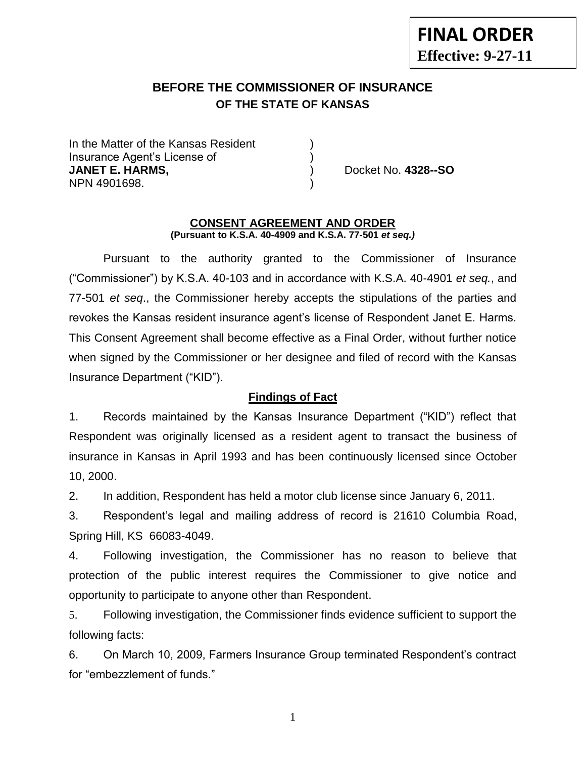# **BEFORE THE COMMISSIONER OF INSURANCE OF THE STATE OF KANSAS**

In the Matter of the Kansas Resident Insurance Agent's License of ) **JANET E. HARMS,** ) Docket No. **4328--SO** NPN 4901698. )

#### **CONSENT AGREEMENT AND ORDER (Pursuant to K.S.A. 40-4909 and K.S.A. 77-501** *et seq.)*

Pursuant to the authority granted to the Commissioner of Insurance ("Commissioner") by K.S.A. 40-103 and in accordance with K.S.A. 40-4901 *et seq.*, and 77-501 *et seq*., the Commissioner hereby accepts the stipulations of the parties and revokes the Kansas resident insurance agent's license of Respondent Janet E. Harms. This Consent Agreement shall become effective as a Final Order, without further notice when signed by the Commissioner or her designee and filed of record with the Kansas Insurance Department ("KID").

#### **Findings of Fact**

1. Records maintained by the Kansas Insurance Department ("KID") reflect that Respondent was originally licensed as a resident agent to transact the business of insurance in Kansas in April 1993 and has been continuously licensed since October 10, 2000.

2. In addition, Respondent has held a motor club license since January 6, 2011.

3. Respondent's legal and mailing address of record is 21610 Columbia Road, Spring Hill, KS 66083-4049.

4. Following investigation, the Commissioner has no reason to believe that protection of the public interest requires the Commissioner to give notice and opportunity to participate to anyone other than Respondent.

5. Following investigation, the Commissioner finds evidence sufficient to support the following facts:

6. On March 10, 2009, Farmers Insurance Group terminated Respondent's contract for "embezzlement of funds."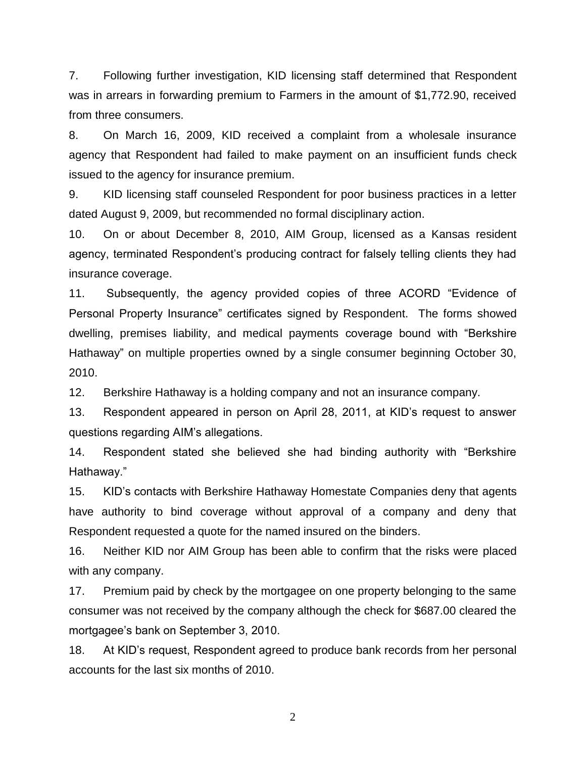7. Following further investigation, KID licensing staff determined that Respondent was in arrears in forwarding premium to Farmers in the amount of \$1,772.90, received from three consumers.

8. On March 16, 2009, KID received a complaint from a wholesale insurance agency that Respondent had failed to make payment on an insufficient funds check issued to the agency for insurance premium.

9. KID licensing staff counseled Respondent for poor business practices in a letter dated August 9, 2009, but recommended no formal disciplinary action.

10. On or about December 8, 2010, AIM Group, licensed as a Kansas resident agency, terminated Respondent's producing contract for falsely telling clients they had insurance coverage.

11. Subsequently, the agency provided copies of three ACORD "Evidence of Personal Property Insurance" certificates signed by Respondent. The forms showed dwelling, premises liability, and medical payments coverage bound with "Berkshire Hathaway" on multiple properties owned by a single consumer beginning October 30, 2010.

12. Berkshire Hathaway is a holding company and not an insurance company.

13. Respondent appeared in person on April 28, 2011, at KID's request to answer questions regarding AIM's allegations.

14. Respondent stated she believed she had binding authority with "Berkshire Hathaway."

15. KID's contacts with Berkshire Hathaway Homestate Companies deny that agents have authority to bind coverage without approval of a company and deny that Respondent requested a quote for the named insured on the binders.

16. Neither KID nor AIM Group has been able to confirm that the risks were placed with any company.

17. Premium paid by check by the mortgagee on one property belonging to the same consumer was not received by the company although the check for \$687.00 cleared the mortgagee's bank on September 3, 2010.

18. At KID's request, Respondent agreed to produce bank records from her personal accounts for the last six months of 2010.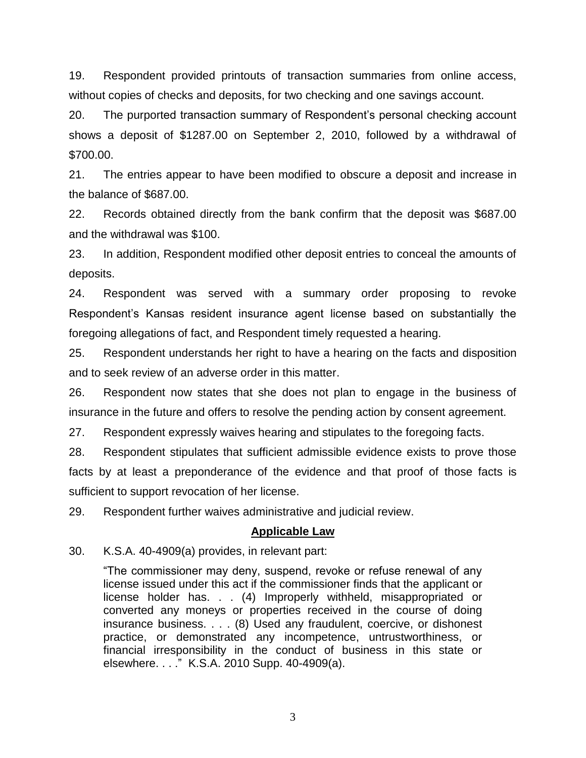19. Respondent provided printouts of transaction summaries from online access, without copies of checks and deposits, for two checking and one savings account.

20. The purported transaction summary of Respondent's personal checking account shows a deposit of \$1287.00 on September 2, 2010, followed by a withdrawal of \$700.00.

21. The entries appear to have been modified to obscure a deposit and increase in the balance of \$687.00.

22. Records obtained directly from the bank confirm that the deposit was \$687.00 and the withdrawal was \$100.

23. In addition, Respondent modified other deposit entries to conceal the amounts of deposits.

24. Respondent was served with a summary order proposing to revoke Respondent's Kansas resident insurance agent license based on substantially the foregoing allegations of fact, and Respondent timely requested a hearing.

25. Respondent understands her right to have a hearing on the facts and disposition and to seek review of an adverse order in this matter.

26. Respondent now states that she does not plan to engage in the business of insurance in the future and offers to resolve the pending action by consent agreement.

27. Respondent expressly waives hearing and stipulates to the foregoing facts.

28. Respondent stipulates that sufficient admissible evidence exists to prove those facts by at least a preponderance of the evidence and that proof of those facts is sufficient to support revocation of her license.

29. Respondent further waives administrative and judicial review.

#### **Applicable Law**

30. K.S.A. 40-4909(a) provides, in relevant part:

"The commissioner may deny, suspend, revoke or refuse renewal of any license issued under this act if the commissioner finds that the applicant or license holder has. . . (4) Improperly withheld, misappropriated or converted any moneys or properties received in the course of doing insurance business. . . . (8) Used any fraudulent, coercive, or dishonest practice, or demonstrated any incompetence, untrustworthiness, or financial irresponsibility in the conduct of business in this state or elsewhere. . . ." K.S.A. 2010 Supp. 40-4909(a).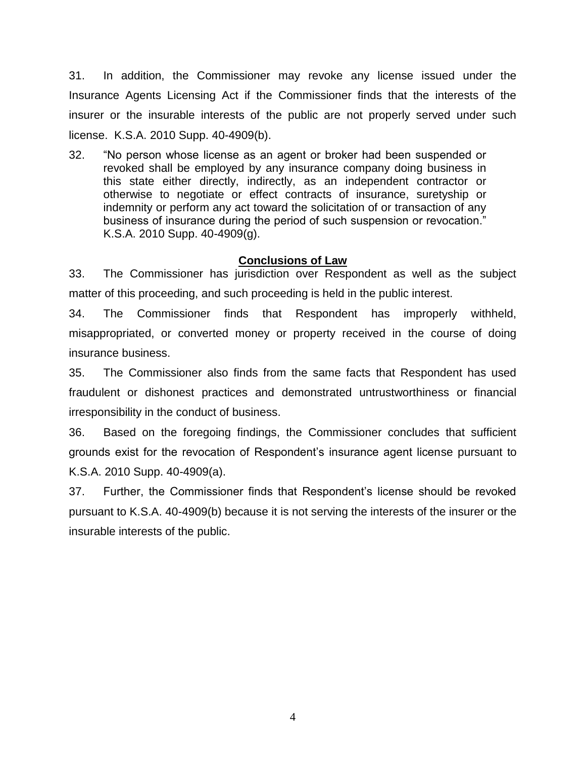31. In addition, the Commissioner may revoke any license issued under the Insurance Agents Licensing Act if the Commissioner finds that the interests of the insurer or the insurable interests of the public are not properly served under such license. K.S.A. 2010 Supp. 40-4909(b).

32. "No person whose license as an agent or broker had been suspended or revoked shall be employed by any insurance company doing business in this state either directly, indirectly, as an independent contractor or otherwise to negotiate or effect contracts of insurance, suretyship or indemnity or perform any act toward the solicitation of or transaction of any business of insurance during the period of such suspension or revocation." K.S.A. 2010 Supp. 40-4909(g).

### **Conclusions of Law**

33. The Commissioner has jurisdiction over Respondent as well as the subject matter of this proceeding, and such proceeding is held in the public interest.

34. The Commissioner finds that Respondent has improperly withheld, misappropriated, or converted money or property received in the course of doing insurance business.

35. The Commissioner also finds from the same facts that Respondent has used fraudulent or dishonest practices and demonstrated untrustworthiness or financial irresponsibility in the conduct of business.

36. Based on the foregoing findings, the Commissioner concludes that sufficient grounds exist for the revocation of Respondent's insurance agent license pursuant to K.S.A. 2010 Supp. 40-4909(a).

37. Further, the Commissioner finds that Respondent's license should be revoked pursuant to K.S.A. 40-4909(b) because it is not serving the interests of the insurer or the insurable interests of the public.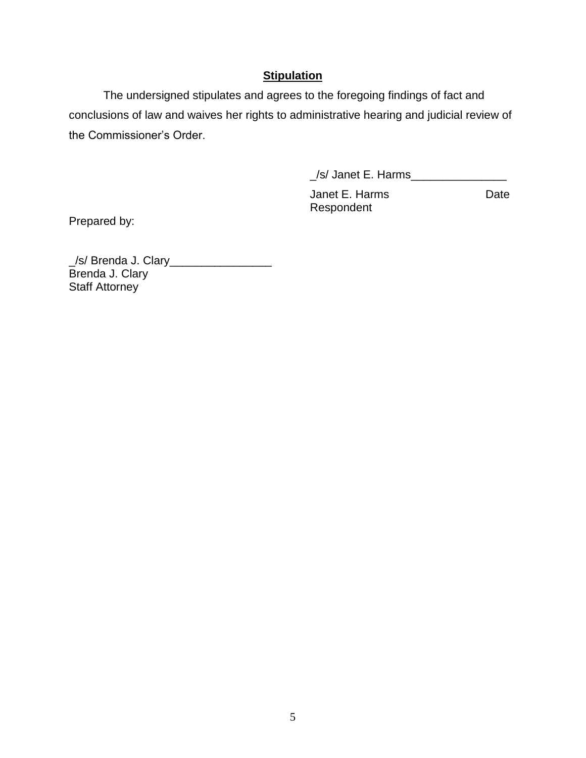## **Stipulation**

The undersigned stipulates and agrees to the foregoing findings of fact and conclusions of law and waives her rights to administrative hearing and judicial review of the Commissioner's Order.

\_/s/ Janet E. Harms\_\_\_\_\_\_\_\_\_\_\_\_\_\_\_

Janet E. Harms Date Respondent

Prepared by:

\_/s/ Brenda J. Clary\_\_\_\_\_\_\_\_\_\_\_\_\_\_\_\_ Brenda J. Clary Staff Attorney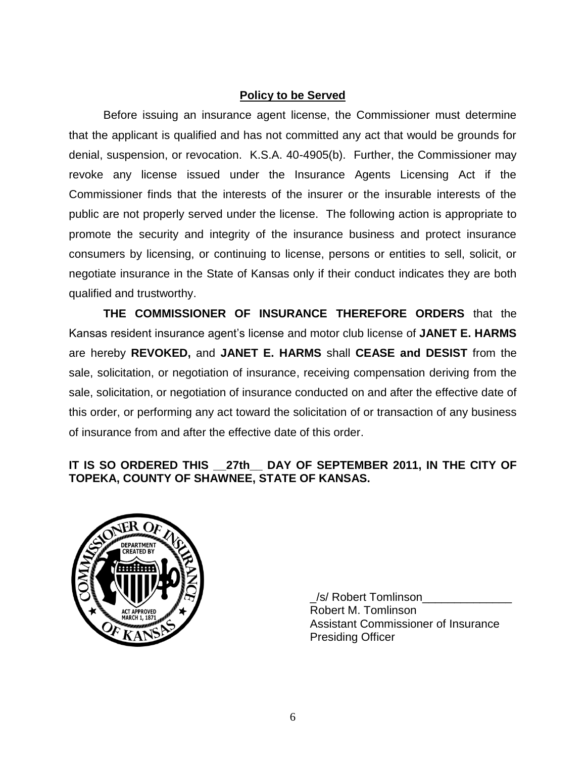### **Policy to be Served**

Before issuing an insurance agent license, the Commissioner must determine that the applicant is qualified and has not committed any act that would be grounds for denial, suspension, or revocation. K.S.A. 40-4905(b). Further, the Commissioner may revoke any license issued under the Insurance Agents Licensing Act if the Commissioner finds that the interests of the insurer or the insurable interests of the public are not properly served under the license. The following action is appropriate to promote the security and integrity of the insurance business and protect insurance consumers by licensing, or continuing to license, persons or entities to sell, solicit, or negotiate insurance in the State of Kansas only if their conduct indicates they are both qualified and trustworthy.

**THE COMMISSIONER OF INSURANCE THEREFORE ORDERS** that the Kansas resident insurance agent's license and motor club license of **JANET E. HARMS** are hereby **REVOKED,** and **JANET E. HARMS** shall **CEASE and DESIST** from the sale, solicitation, or negotiation of insurance, receiving compensation deriving from the sale, solicitation, or negotiation of insurance conducted on and after the effective date of this order, or performing any act toward the solicitation of or transaction of any business of insurance from and after the effective date of this order.

### **IT IS SO ORDERED THIS \_\_27th\_\_ DAY OF SEPTEMBER 2011, IN THE CITY OF TOPEKA, COUNTY OF SHAWNEE, STATE OF KANSAS.**



\_/s/ Robert Tomlinson\_\_\_\_\_\_\_\_\_\_\_\_\_\_ Robert M. Tomlinson Assistant Commissioner of Insurance Presiding Officer